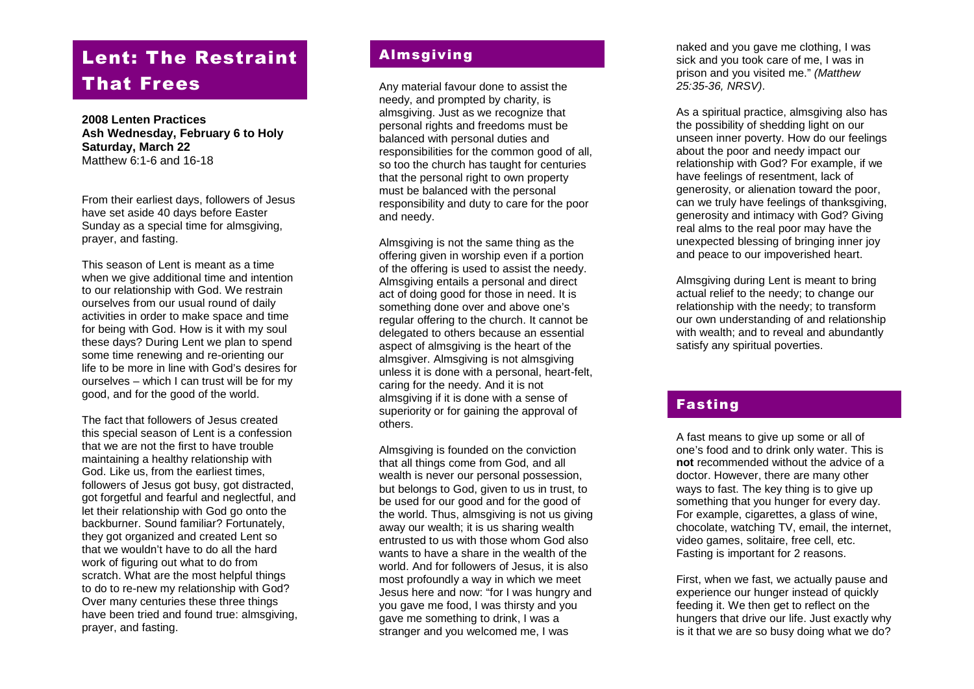# Lent: The Restraint That Frees

**200 8 Lenten Practices Ash Wednesday, February 6 to Holy Saturday, March 22** Matthew 6:1 -6 and 16 -18

From their earliest days, followers of Jesus have set aside 40 days before Easter Sunday as a special time for almsgiving, prayer, and fasting .

This season of Lent is meant as a time when we give additional time and intention to our relationship with God. We restrain ourselves from our usual round of daily activities in order to make space and time for being with God. How is it with my soul these days? During Lent we plan to spend some time renewing and re -orienting our life to be more in line with God's desires for ourselves – which I can trust will be for my good, and for the good of the world.

The fact that followers of Jesus created this special season of Lent is a confession that we are not the first to have trouble maintaining a healthy relationship with God. Like us, from the earliest times, followers of Jesus got busy, got distracted, got forgetful and fearful and neglectful, and let their relationship with God go onto the backburner. Sound familiar? Fortunately, they got organized and created Lent so that we wouldn't have to do all the hard work of figuring out what to do from scratch. What are the most helpful things to do to re -new my relationship with God? Over many centuries these three things have been tried and found true : almsgiving, prayer, and fasting .

## Almsgiving

Any material favour done to assist the needy, and prompted by charity, is almsgiving. Just as we recognize that personal rights and freedoms must be balanced with personal duties and responsibilities for the common good of all, so too the church has taught for centuries that the personal right to own property must be balanced with the personal responsibility and duty to care for the poor and needy.

Almsgiving is not the same thing as the offering given in worship even if a portion of the offering is used to assist the needy. Almsgiving entails a personal and direct act of doing good for those in need. It is something done over and above one's regular offering to the church. It cannot be delegated to others because an essential aspect of almsgiving is the heart of the almsgiver. Almsgiving is not almsgiving unless it is done with a personal, heart -felt, caring for the needy. And it is not almsgiving if it is done with a sense of superiority or for gaining the approval of others.

Almsgiving is founded on the conviction that all things come from God, and all wealth is never our personal possession, but belongs to God, given to us in trust, to be used for our good and for the good of the world. Thus, almsgiving is not us giving away our wealth; it is us sharing wealth entrusted to us with those whom God also wants to have a share in the wealth of the world. And for followers of Jesus, it is also most profoundly a way in which we meet Jesus here and now: "for I was hungry and you gave me food, I was thirsty and you gave me something to drink, I was a stranger and you welcomed me, I was

naked and you gave me clothing, I was sick and you took care of me, I was in prison and you visited me." *(Matthew 25:35 -36, NRSV)* .

As a spiritual practice, almsgiving also has the possibility of shedding light on our unseen inner poverty. How do our feelings about the poor and needy impact our relationship with God? For example, if we have feelings of resentment, lack of generosity, or alienation toward the poor , can we truly have feelings of thanksgiving, generosity and intimacy with God? Giving real alms to the real poor may have the unexpected blessing of bringing inner joy and peace to our impoverished heart.

Almsgiving during Lent is meant to bring actual relief to the needy; to change our relationship with the needy; to transform our own understanding of and relationshi p with wealth; and to reveal and abundantly satisfy any spiritual poverties.

### Fasting

A fast means to give up some or all of one's food and to drink only water. This is **not** recommended without the advice of a doctor. However, there are many other ways to fast. The key thing is to give up something that you hunger for every day. For example, cigarettes, a glass of wine, chocolate, watching TV, email, the internet, video games, solitaire, free cell, etc. Fasting is important for 2 reasons.

First, when we fast, we actually pause and experience our hunger instead of quickly feeding it. W e then get to reflect on the hungers that drive our life. Just exactly why is it that we are so busy doing what we do?